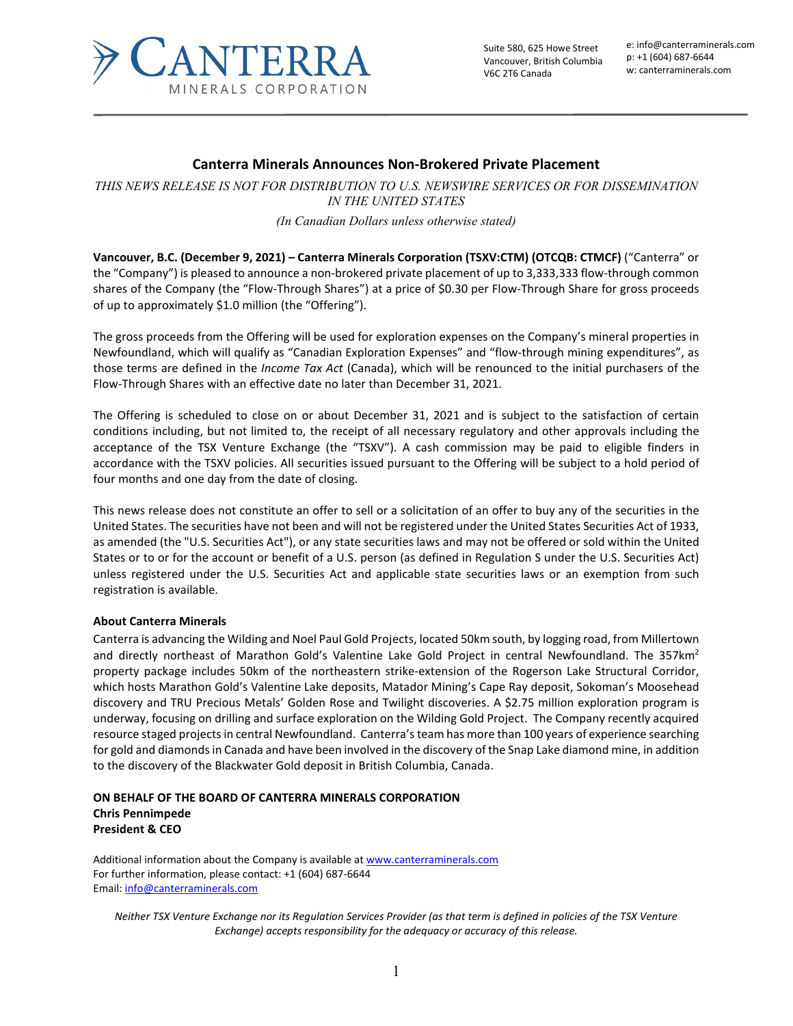

Suite 580, 625 Howe Street Vancouver, British Columbia V6C 2T6 Canada

e: info@canterraminerals.com p: +1 (604) 687-6644 w: canterraminerals.com

## **Canterra Minerals Announces Non-Brokered Private Placement**

*THIS NEWS RELEASE IS NOT FOR DISTRIBUTION TO U.S. NEWSWIRE SERVICES OR FOR DISSEMINATION IN THE UNITED STATES*

*(In Canadian Dollars unless otherwise stated)*

**Vancouver, B.C. (December 9, 2021) – Canterra Minerals Corporation (TSXV:CTM) (OTCQB: CTMCF)** ("Canterra" or the "Company") is pleased to announce a non-brokered private placement of up to 3,333,333 flow-through common shares of the Company (the "Flow-Through Shares") at a price of \$0.30 per Flow-Through Share for gross proceeds of up to approximately \$1.0 million (the "Offering").

The gross proceeds from the Offering will be used for exploration expenses on the Company's mineral properties in Newfoundland, which will qualify as "Canadian Exploration Expenses" and "flow-through mining expenditures", as those terms are defined in the *Income Tax Act* (Canada), which will be renounced to the initial purchasers of the Flow-Through Shares with an effective date no later than December 31, 2021.

The Offering is scheduled to close on or about December 31, 2021 and is subject to the satisfaction of certain conditions including, but not limited to, the receipt of all necessary regulatory and other approvals including the acceptance of the TSX Venture Exchange (the "TSXV"). A cash commission may be paid to eligible finders in accordance with the TSXV policies. All securities issued pursuant to the Offering will be subject to a hold period of four months and one day from the date of closing.

This news release does not constitute an offer to sell or a solicitation of an offer to buy any of the securities in the United States. The securities have not been and will not be registered under the United States Securities Act of 1933, as amended (the "U.S. Securities Act"), or any state securities laws and may not be offered or sold within the United States or to or for the account or benefit of a U.S. person (as defined in Regulation S under the U.S. Securities Act) unless registered under the U.S. Securities Act and applicable state securities laws or an exemption from such registration is available.

## **About Canterra Minerals**

Canterra is advancing the Wilding and Noel Paul Gold Projects, located 50km south, by logging road, from Millertown and directly northeast of Marathon Gold's Valentine Lake Gold Project in central Newfoundland. The 357km<sup>2</sup> property package includes 50km of the northeastern strike-extension of the Rogerson Lake Structural Corridor, which hosts Marathon Gold's Valentine Lake deposits, Matador Mining's Cape Ray deposit, Sokoman's Moosehead discovery and TRU Precious Metals' Golden Rose and Twilight discoveries. A \$2.75 million exploration program is underway, focusing on drilling and surface exploration on the Wilding Gold Project. The Company recently acquired resource staged projects in central Newfoundland. Canterra's team has more than 100 years of experience searching for gold and diamonds in Canada and have been involved in the discovery of the Snap Lake diamond mine, in addition to the discovery of the Blackwater Gold deposit in British Columbia, Canada.

## **ON BEHALF OF THE BOARD OF CANTERRA MINERALS CORPORATION Chris Pennimpede President & CEO**

Additional information about the Company is available at [www.canterraminerals.com](http://www.canterraminerals.com/s/Home.asp) For further information, please contact: +1 (604) 687-6644 Email: [info@canterraminerals.com](mailto:info@canterraminerals.com)

*Neither TSX Venture Exchange nor its Regulation Services Provider (as that term is defined in policies of the TSX Venture Exchange) accepts responsibility for the adequacy or accuracy of this release.*